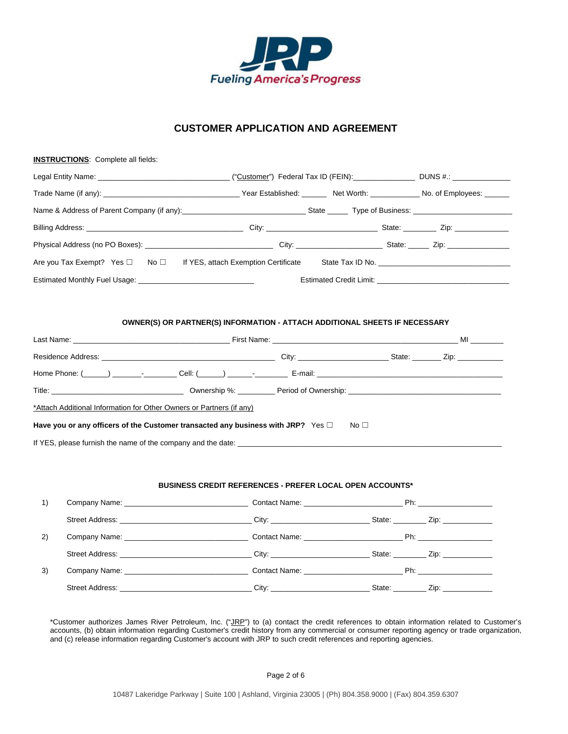

### **CUSTOMER APPLICATION AND AGREEMENT**

| Physical Address (no PO Boxes): _______________________________City: ___________________State: ______ Zip: ____________________________<br>Are you Tax Exempt? Yes □ No □ If YES, attach Exemption Certificate State Tax ID No.<br>Estimated Monthly Fuel Usage: North States and States and States and States and States and States and States and States and States and States and States and States and States and States and States and States and States and |              |                                                                            |
|-------------------------------------------------------------------------------------------------------------------------------------------------------------------------------------------------------------------------------------------------------------------------------------------------------------------------------------------------------------------------------------------------------------------------------------------------------------------|--------------|----------------------------------------------------------------------------|
|                                                                                                                                                                                                                                                                                                                                                                                                                                                                   |              |                                                                            |
|                                                                                                                                                                                                                                                                                                                                                                                                                                                                   |              |                                                                            |
|                                                                                                                                                                                                                                                                                                                                                                                                                                                                   |              |                                                                            |
|                                                                                                                                                                                                                                                                                                                                                                                                                                                                   |              |                                                                            |
|                                                                                                                                                                                                                                                                                                                                                                                                                                                                   |              |                                                                            |
|                                                                                                                                                                                                                                                                                                                                                                                                                                                                   |              | Estimated Credit Limit: New York Contract Credit Limit:                    |
|                                                                                                                                                                                                                                                                                                                                                                                                                                                                   |              |                                                                            |
|                                                                                                                                                                                                                                                                                                                                                                                                                                                                   |              |                                                                            |
|                                                                                                                                                                                                                                                                                                                                                                                                                                                                   |              |                                                                            |
|                                                                                                                                                                                                                                                                                                                                                                                                                                                                   |              |                                                                            |
| *Attach Additional Information for Other Owners or Partners (if any)                                                                                                                                                                                                                                                                                                                                                                                              |              |                                                                            |
|                                                                                                                                                                                                                                                                                                                                                                                                                                                                   |              |                                                                            |
| Have you or any officers of the Customer transacted any business with JRP? Yes $\square$                                                                                                                                                                                                                                                                                                                                                                          | No $\square$ |                                                                            |
|                                                                                                                                                                                                                                                                                                                                                                                                                                                                   |              | OWNER(S) OR PARTNER(S) INFORMATION - ATTACH ADDITIONAL SHEETS IF NECESSARY |

#### **BUSINESS CREDIT REFERENCES - PREFER LOCAL OPEN ACCOUNTS\***

| 1)           | Company Name: Name: Name and South Assembly Name and South Assembly Name and South Assembly Name and South Assembly | Contact Name: Name: Name and South Assembly Property and South Assembly Property and South Assembly Property and South Assembly Property and Assembly Property and Assembly Property and Assembly Property and Assembly Proper      |                          | Ph: _____________________ |
|--------------|---------------------------------------------------------------------------------------------------------------------|-------------------------------------------------------------------------------------------------------------------------------------------------------------------------------------------------------------------------------------|--------------------------|---------------------------|
|              |                                                                                                                     |                                                                                                                                                                                                                                     |                          | State: <u>Zip:</u> Zip:   |
| $\mathbf{2}$ | Company Name: Company Name:                                                                                         | <b>Contact Name:</b> The Contact Name: The Contact Name: The Contact Name: The Contact Name: The Contact Name: The Contact Name: The Contact Name: The Contact Name: The Contact Name: The Contact Name: The Contact Name: The Cont |                          |                           |
|              | Street Address: City: City:                                                                                         |                                                                                                                                                                                                                                     |                          | State: <u>Zip:</u> Zip:   |
| 3)           | Company Name: Company Name:                                                                                         | Contact Name: The Contact Name of the Contact Name of the Contact Name of the Contact O                                                                                                                                             |                          |                           |
|              |                                                                                                                     |                                                                                                                                                                                                                                     | State: <u>__________</u> | Zip: _____________        |

\*Customer authorizes James River Petroleum, Inc. ("JRP") to (a) contact the credit references to obtain information related to Customer's accounts, (b) obtain information regarding Customer's credit history from any commercial or consumer reporting agency or trade organization, and (c) release information regarding Customer's account with JRP to such credit references and reporting agencies.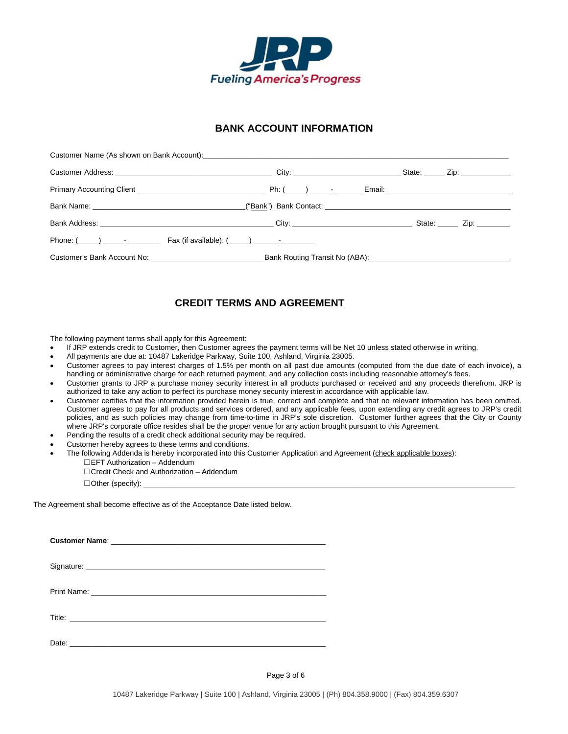

### **BANK ACCOUNT INFORMATION**

| Primary Accounting Client example and the set of the Countries of the Countries of the Countries of the Countries of the Countries of the Countries of the Countries of the Countries of the Countries of the Countries of the |  |
|--------------------------------------------------------------------------------------------------------------------------------------------------------------------------------------------------------------------------------|--|
|                                                                                                                                                                                                                                |  |
|                                                                                                                                                                                                                                |  |
|                                                                                                                                                                                                                                |  |
|                                                                                                                                                                                                                                |  |

## **CREDIT TERMS AND AGREEMENT**

The following payment terms shall apply for this Agreement:

- If JRP extends credit to Customer, then Customer agrees the payment terms will be Net 10 unless stated otherwise in writing.
- All payments are due at: 10487 Lakeridge Parkway, Suite 100, Ashland, Virginia 23005.
- Customer agrees to pay interest charges of 1.5% per month on all past due amounts (computed from the due date of each invoice), a handling or administrative charge for each returned payment, and any collection costs including reasonable attorney's fees.
- Customer grants to JRP a purchase money security interest in all products purchased or received and any proceeds therefrom. JRP is authorized to take any action to perfect its purchase money security interest in accordance with applicable law.
- Customer certifies that the information provided herein is true, correct and complete and that no relevant information has been omitted. Customer agrees to pay for all products and services ordered, and any applicable fees, upon extending any credit agrees to JRP's credit policies, and as such policies may change from time-to-time in JRP's sole discretion. Customer further agrees that the City or County where JRP's corporate office resides shall be the proper venue for any action brought pursuant to this Agreement.
- Pending the results of a credit check additional security may be required.
- Customer hereby agrees to these terms and conditions.
- The following Addenda is hereby incorporated into this Customer Application and Agreement (check applicable boxes): ☐EFT Authorization – Addendum
	- ☐Credit Check and Authorization Addendum

 $\Box$  Other (specify):

The Agreement shall become effective as of the Acceptance Date listed below.

**Customer Name**: \_\_\_\_\_\_\_\_\_\_\_\_\_\_\_\_\_\_\_\_\_\_\_\_\_\_\_\_\_\_\_\_\_\_\_\_\_\_\_\_\_\_\_\_\_\_\_\_\_\_\_\_ Signature: Print Name: **Example 20** and 20 and 20 and 20 and 20 and 20 and 20 and 20 and 20 and 20 and 20 and 20 and 20 and 20 and 20 and 20 and 20 and 20 and 20 and 20 and 20 and 20 and 20 and 20 and 20 and 20 and 20 and 20 and 20 a Title:  $\_\_$ Date: \_\_\_\_\_\_\_\_\_\_\_\_\_\_\_\_\_\_\_\_\_\_\_\_\_\_\_\_\_\_\_\_\_\_\_\_\_\_\_\_\_\_\_\_\_\_\_\_\_\_\_\_\_\_\_\_\_\_\_\_\_\_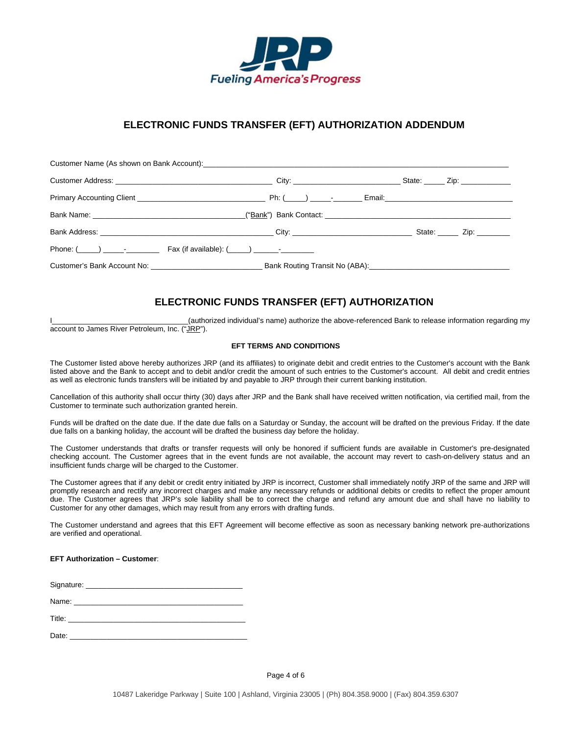

## **ELECTRONIC FUNDS TRANSFER (EFT) AUTHORIZATION ADDENDUM**

| Customer Name (As shown on Bank Account): New York Customer Service Customer Name (As shown on Bank Account): |  |
|---------------------------------------------------------------------------------------------------------------|--|
|                                                                                                               |  |
|                                                                                                               |  |
| Bank Name: <u>Cambridge Communication</u> ("Bank") Bank Contact:                                              |  |
|                                                                                                               |  |
|                                                                                                               |  |
|                                                                                                               |  |

## **ELECTRONIC FUNDS TRANSFER (EFT) AUTHORIZATION**

(authorized individual's name) authorize the above-referenced Bank to release information regarding my account to James River Petroleum, Inc. ("JRP").

#### **EFT TERMS AND CONDITIONS**

The Customer listed above hereby authorizes JRP (and its affiliates) to originate debit and credit entries to the Customer's account with the Bank listed above and the Bank to accept and to debit and/or credit the amount of such entries to the Customer's account. All debit and credit entries as well as electronic funds transfers will be initiated by and payable to JRP through their current banking institution.

Cancellation of this authority shall occur thirty (30) days after JRP and the Bank shall have received written notification, via certified mail, from the Customer to terminate such authorization granted herein.

Funds will be drafted on the date due. If the date due falls on a Saturday or Sunday, the account will be drafted on the previous Friday. If the date due falls on a banking holiday, the account will be drafted the business day before the holiday.

The Customer understands that drafts or transfer requests will only be honored if sufficient funds are available in Customer's pre-designated checking account. The Customer agrees that in the event funds are not available, the account may revert to cash-on-delivery status and an insufficient funds charge will be charged to the Customer.

The Customer agrees that if any debit or credit entry initiated by JRP is incorrect, Customer shall immediately notify JRP of the same and JRP will promptly research and rectify any incorrect charges and make any necessary refunds or additional debits or credits to reflect the proper amount due. The Customer agrees that JRP's sole liability shall be to correct the charge and refund any amount due and shall have no liability to Customer for any other damages, which may result from any errors with drafting funds.

The Customer understand and agrees that this EFT Agreement will become effective as soon as necessary banking network pre-authorizations are verified and operational.

#### **EFT Authorization – Customer**:

| Name:<br><u> 1980 - Jan Barbara, manazarta da </u>                    |
|-----------------------------------------------------------------------|
| Title:<br>the control of the control of the control of the control of |
| Date:                                                                 |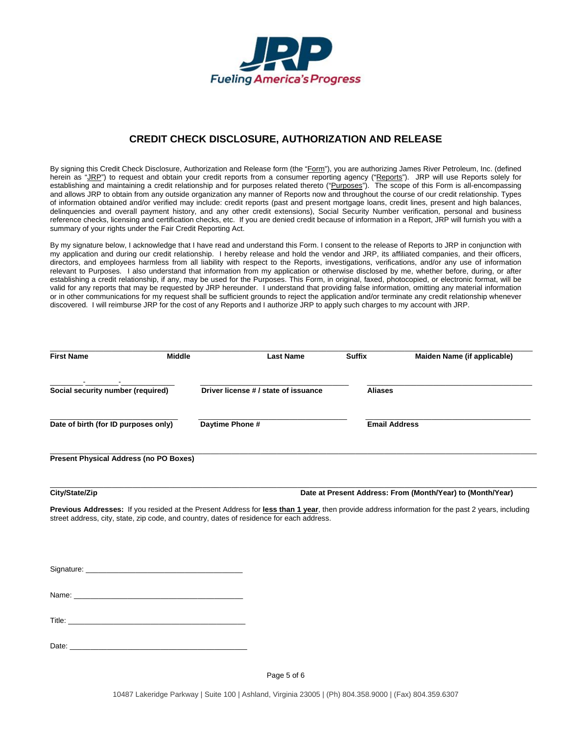

## **CREDIT CHECK DISCLOSURE, AUTHORIZATION AND RELEASE**

By signing this Credit Check Disclosure, Authorization and Release form (the "Form"), you are authorizing James River Petroleum, Inc. (defined herein as "JRP") to request and obtain your credit reports from a consumer reporting agency ("Reports"). JRP will use Reports solely for establishing and maintaining a credit relationship and for purposes related thereto ("Purposes"). The scope of this Form is all-encompassing and allows JRP to obtain from any outside organization any manner of Reports now and throughout the course of our credit relationship. Types of information obtained and/or verified may include: credit reports (past and present mortgage loans, credit lines, present and high balances, delinquencies and overall payment history, and any other credit extensions), Social Security Number verification, personal and business reference checks, licensing and certification checks, etc. If you are denied credit because of information in a Report, JRP will furnish you with a summary of your rights under the Fair Credit Reporting Act.

By my signature below, I acknowledge that I have read and understand this Form. I consent to the release of Reports to JRP in conjunction with my application and during our credit relationship. I hereby release and hold the vendor and JRP, its affiliated companies, and their officers, directors, and employees harmless from all liability with respect to the Reports, investigations, verifications, and/or any use of information relevant to Purposes. I also understand that information from my application or otherwise disclosed by me, whether before, during, or after establishing a credit relationship, if any, may be used for the Purposes. This Form, in original, faxed, photocopied, or electronic format, will be valid for any reports that may be requested by JRP hereunder. I understand that providing false information, omitting any material information or in other communications for my request shall be sufficient grounds to reject the application and/or terminate any credit relationship whenever discovered. I will reimburse JRP for the cost of any Reports and I authorize JRP to apply such charges to my account with JRP.

| <b>First Name</b>                                                                                                                                                                                                                    | <b>Middle</b> |                 | <b>Last Name</b>                     | <b>Suffix</b> | Maiden Name (if applicable)                                                                                                                                                                                    |  |  |
|--------------------------------------------------------------------------------------------------------------------------------------------------------------------------------------------------------------------------------------|---------------|-----------------|--------------------------------------|---------------|----------------------------------------------------------------------------------------------------------------------------------------------------------------------------------------------------------------|--|--|
| Social security number (required)                                                                                                                                                                                                    |               |                 | Driver license # / state of issuance |               | <b>Aliases</b>                                                                                                                                                                                                 |  |  |
| Date of birth (for ID purposes only)                                                                                                                                                                                                 |               | Daytime Phone # |                                      |               | <b>Email Address</b>                                                                                                                                                                                           |  |  |
| <b>Present Physical Address (no PO Boxes)</b>                                                                                                                                                                                        |               |                 |                                      |               |                                                                                                                                                                                                                |  |  |
| City/State/Zip<br>street address, city, state, zip code, and country, dates of residence for each address.                                                                                                                           |               |                 |                                      |               | Date at Present Address: From (Month/Year) to (Month/Year)<br>Previous Addresses: If you resided at the Present Address for less than 1 year, then provide address information for the past 2 years, including |  |  |
|                                                                                                                                                                                                                                      |               |                 |                                      |               |                                                                                                                                                                                                                |  |  |
|                                                                                                                                                                                                                                      |               |                 |                                      |               |                                                                                                                                                                                                                |  |  |
|                                                                                                                                                                                                                                      |               |                 |                                      |               |                                                                                                                                                                                                                |  |  |
| Date: <u>Date: Sales and Sales and Sales and Sales and Sales and Sales and Sales and Sales and Sales and Sales and Sales and Sales and Sales and Sales and Sales and Sales and Sales and Sales and Sales and Sales and Sales and</u> |               |                 |                                      |               |                                                                                                                                                                                                                |  |  |